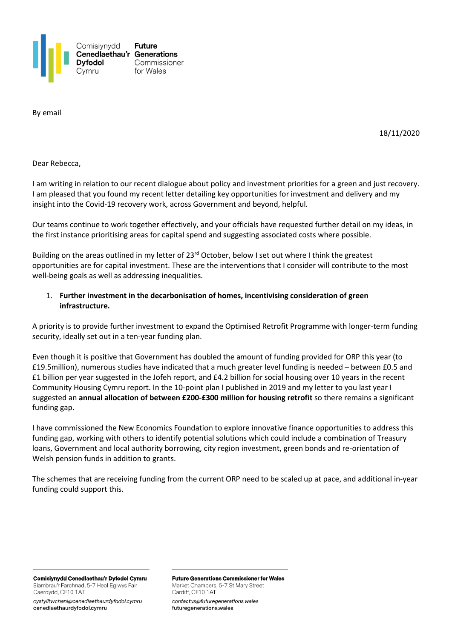

By email

18/11/2020

Dear Rebecca,

I am writing in relation to our recent dialogue about policy and investment priorities for a green and just recovery. I am pleased that you found my recent letter detailing key opportunities for investment and delivery and my insight into the Covid-19 recovery work, across Government and beyond, helpful.

Our teams continue to work together effectively, and your officials have requested further detail on my ideas, in the first instance prioritising areas for capital spend and suggesting associated costs where possible.

Building on the areas outlined in my letter of 23<sup>rd</sup> October, below I set out where I think the greatest opportunities are for capital investment. These are the interventions that I consider will contribute to the most well-being goals as well as addressing inequalities.

### 1. **Further investment in the decarbonisation of homes, incentivising consideration of green infrastructure.**

A priority is to provide further investment to expand the Optimised Retrofit Programme with longer-term funding security, ideally set out in a ten-year funding plan.

Even though it is positive that Government has doubled the amount of funding provided for ORP this year (to £19.5million), numerous studies have indicated that a much greater level funding is needed – between £0.5 and £1 billion per year suggested in the Jofeh report, and £4.2 billion for social housing over 10 years in the recent Community Housing Cymru report. In the 10-point plan I published in 2019 and my letter to you last year I suggested an **annual allocation of between £200-£300 million for housing retrofit** so there remains a significant funding gap.

I have commissioned the New Economics Foundation to explore innovative finance opportunities to address this funding gap, working with others to identify potential solutions which could include a combination of Treasury loans, Government and local authority borrowing, city region investment, green bonds and re-orientation of Welsh pension funds in addition to grants.

The schemes that are receiving funding from the current ORP need to be scaled up at pace, and additional in-year funding could support this.

Comisiynydd Cenedlaethau'r Dyfodol Cymru Siambrau'r Farchnad, 5-7 Heol Eglwys Fair Caerdydd, CF10 1AT

cystylltwchani@cenedlaethaurdyfodol.cymru cenedlaethaurdyfodol.cymru

**Future Generations Commissioner for Wales** Market Chambers, 5-7 St Mary Street Cardiff, CF10 1AT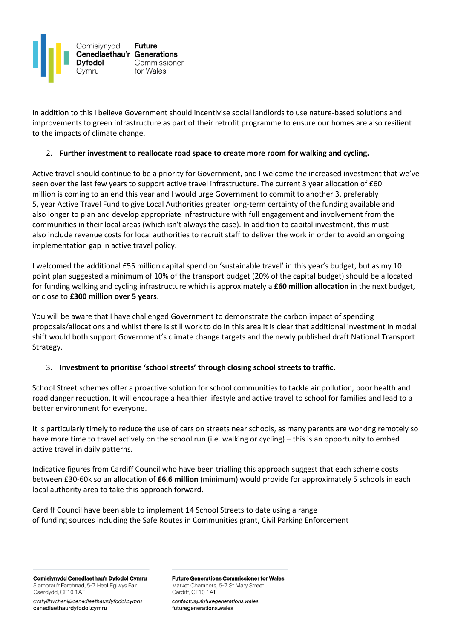

In addition to this I believe Government should incentivise social landlords to use nature-based solutions and improvements to green infrastructure as part of their retrofit programme to ensure our homes are also resilient to the impacts of climate change.

### 2. **Further investment to reallocate road space to create more room for walking and cycling.**

Active travel should continue to be a priority for Government, and I welcome the increased investment that we've seen over the last few years to support active travel infrastructure. The current 3 year allocation of £60 million is coming to an end this year and I would urge Government to commit to another 3, preferably 5, year Active Travel Fund to give Local Authorities greater long-term certainty of the funding available and also longer to plan and develop appropriate infrastructure with full engagement and involvement from the communities in their local areas (which isn't always the case). In addition to capital investment, this must also include revenue costs for local authorities to recruit staff to deliver the work in order to avoid an ongoing implementation gap in active travel policy.

I welcomed the additional £55 million capital spend on 'sustainable travel' in this year's budget, but as my 10 point plan suggested a minimum of 10% of the transport budget (20% of the capital budget) should be allocated for funding walking and cycling infrastructure which is approximately a **£60 million allocation** in the next budget, or close to **£300 million over 5 years**.

You will be aware that I have challenged Government to demonstrate the carbon impact of spending proposals/allocations and whilst there is still work to do in this area it is clear that additional investment in modal shift would both support Government's climate change targets and the newly published draft National Transport Strategy.

### 3. **Investment to prioritise 'school streets' through closing school streets to traffic.**

School Street schemes offer a proactive solution for school communities to tackle air pollution, poor health and road danger reduction. It will encourage a healthier lifestyle and active travel to school for families and lead to a better environment for everyone.

It is particularly timely to reduce the use of cars on streets near schools, as many parents are working remotely so have more time to travel actively on the school run (i.e. walking or cycling) – this is an opportunity to embed active travel in daily patterns.

Indicative figures from Cardiff Council who have been trialling this approach suggest that each scheme costs between £30-60k so an allocation of **£6.6 million** (minimum) would provide for approximately 5 schools in each local authority area to take this approach forward.

Cardiff Council have been able to implement 14 School Streets to date using a range of funding sources including the Safe Routes in Communities grant, Civil Parking Enforcement

Comisiynydd Cenedlaethau'r Dyfodol Cymru Siambrau'r Farchnad, 5-7 Heol Eglwys Fair Caerdydd, CF10 1AT

cystylltwchani@cenedlaethaurdyfodol.cymru cenedlaethaurdyfodol.cymru

**Future Generations Commissioner for Wales** Market Chambers, 5-7 St Mary Street Cardiff, CF10 1AT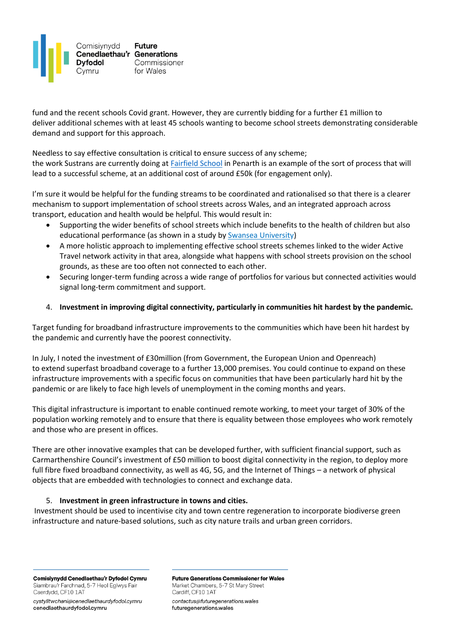

fund and the recent schools Covid grant. However, they are currently bidding for a further £1 million to deliver additional schemes with at least 45 schools wanting to become school streets demonstrating considerable demand and support for this approach.

Needless to say effective consultation is critical to ensure success of any scheme; the work Sustrans are currently doing at **[Fairfield School](https://fairfield-sustrans-uk.hub.arcgis.com/)** in Penarth is an example of the sort of process that will lead to a successful scheme, at an additional cost of around £50k (for engagement only).

I'm sure it would be helpful for the funding streams to be coordinated and rationalised so that there is a clearer mechanism to support implementation of school streets across Wales, and an integrated approach across transport, education and health would be helpful. This would result in:

- Supporting the wider benefits of school streets which include benefits to the health of children but also educational performance (as shown in a study by [Swansea University](https://www-2018.swansea.ac.uk/press-office/news-archive/2016/casestudyhappenprojectimprovingthehealthwellbeingandeducationoutcomesofswanseasprimaryschoolchildren.php))
- A more holistic approach to implementing effective school streets schemes linked to the wider Active Travel network activity in that area, alongside what happens with school streets provision on the school grounds, as these are too often not connected to each other.
- Securing longer-term funding across a wide range of portfolios for various but connected activities would signal long-term commitment and support.

# 4. **Investment in improving digital connectivity, particularly in communities hit hardest by the pandemic.**

Target funding for broadband infrastructure improvements to the communities which have been hit hardest by the pandemic and currently have the poorest connectivity.

In July, I noted the investment of £30million (from Government, the European Union and Openreach) to extend superfast broadband coverage to a further 13,000 premises. You could continue to expand on these infrastructure improvements with a specific focus on communities that have been particularly hard hit by the pandemic or are likely to face high levels of unemployment in the coming months and years.

This digital infrastructure is important to enable continued remote working, to meet your target of 30% of the population working remotely and to ensure that there is equality between those employees who work remotely and those who are present in offices.

There are other innovative examples that can be developed further, with sufficient financial support, such as Carmarthenshire Council's investment of £50 million to boost digital connectivity in the region, to deploy more full fibre fixed broadband connectivity, as well as 4G, 5G, and the Internet of Things – a network of physical objects that are embedded with technologies to connect and exchange data.

# 5. **Investment in green infrastructure in towns and cities.**

Investment should be used to incentivise city and town centre regeneration to incorporate biodiverse green infrastructure and nature-based solutions, such as city nature trails and urban green corridors.

Comisiynydd Cenedlaethau'r Dyfodol Cymru Siambrau'r Farchnad, 5-7 Heol Eglwys Fair Caerdydd, CF10 1AT

cystylltwchani@cenedlaethaurdyfodol.cymru cenedlaethaurdyfodol.cymru

**Future Generations Commissioner for Wales** Market Chambers, 5-7 St Mary Street Cardiff, CF10 1AT